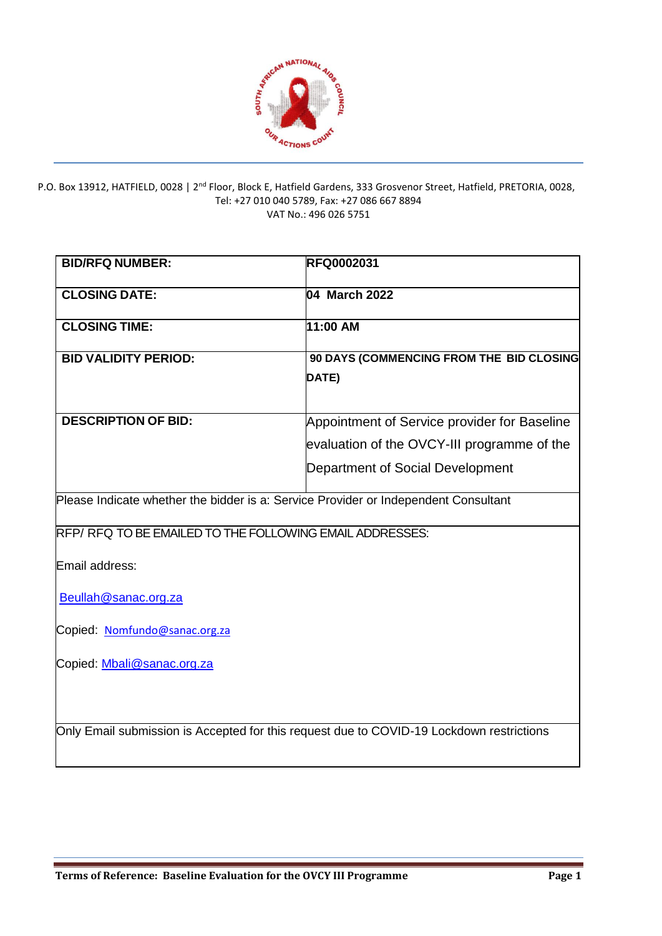

#### P.O. Box 13912, HATFIELD, 0028 | 2<sup>nd</sup> Floor, Block E, Hatfield Gardens, 333 Grosvenor Street, Hatfield, PRETORIA, 0028, Tel: +27 010 040 5789, Fax: +27 086 667 8894 VAT No.: 496 026 5751

| <b>BID/RFQ NUMBER:</b>                                                              | RFQ0002031                                                                               |  |  |  |  |  |
|-------------------------------------------------------------------------------------|------------------------------------------------------------------------------------------|--|--|--|--|--|
| <b>CLOSING DATE:</b>                                                                | 04 March 2022                                                                            |  |  |  |  |  |
| <b>CLOSING TIME:</b>                                                                | 11:00 AM                                                                                 |  |  |  |  |  |
| <b>BID VALIDITY PERIOD:</b>                                                         | 90 DAYS (COMMENCING FROM THE BID CLOSING                                                 |  |  |  |  |  |
|                                                                                     | DATE)                                                                                    |  |  |  |  |  |
| <b>DESCRIPTION OF BID:</b>                                                          | Appointment of Service provider for Baseline                                             |  |  |  |  |  |
|                                                                                     | evaluation of the OVCY-III programme of the                                              |  |  |  |  |  |
|                                                                                     | Department of Social Development                                                         |  |  |  |  |  |
| Please Indicate whether the bidder is a: Service Provider or Independent Consultant |                                                                                          |  |  |  |  |  |
| RFP/RFQ TO BE EMAILED TO THE FOLLOWING EMAIL ADDRESSES:                             |                                                                                          |  |  |  |  |  |
| Email address:                                                                      |                                                                                          |  |  |  |  |  |
| Beullah@sanac.org.za                                                                |                                                                                          |  |  |  |  |  |
| Copied: Nomfundo@sanac.org.za                                                       |                                                                                          |  |  |  |  |  |
| Copied: Mbali@sanac.org.za                                                          |                                                                                          |  |  |  |  |  |
|                                                                                     | Only Email submission is Accepted for this request due to COVID-19 Lockdown restrictions |  |  |  |  |  |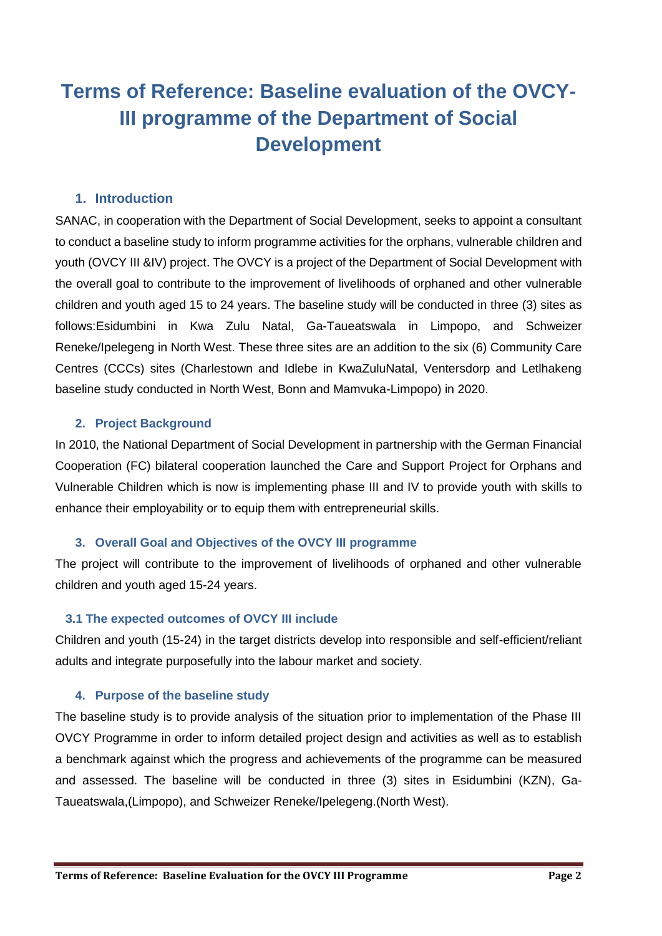# **Terms of Reference: Baseline evaluation of the OVCY-III programme of the Department of Social Development**

### **1. Introduction**

SANAC, in cooperation with the Department of Social Development, seeks to appoint a consultant to conduct a baseline study to inform programme activities for the orphans, vulnerable children and youth (OVCY III &IV) project. The OVCY is a project of the Department of Social Development with the overall goal to contribute to the improvement of livelihoods of orphaned and other vulnerable children and youth aged 15 to 24 years. The baseline study will be conducted in three (3) sites as follows:Esidumbini in Kwa Zulu Natal, Ga-Taueatswala in Limpopo, and Schweizer Reneke/Ipelegeng in North West. These three sites are an addition to the six (6) Community Care Centres (CCCs) sites (Charlestown and Idlebe in KwaZuluNatal, Ventersdorp and Letlhakeng baseline study conducted in North West, Bonn and Mamvuka-Limpopo) in 2020.

#### **2. Project Background**

In 2010, the National Department of Social Development in partnership with the German Financial Cooperation (FC) bilateral cooperation launched the Care and Support Project for Orphans and Vulnerable Children which is now is implementing phase III and IV to provide youth with skills to enhance their employability or to equip them with entrepreneurial skills.

### **3. Overall Goal and Objectives of the OVCY III programme**

The project will contribute to the improvement of livelihoods of orphaned and other vulnerable children and youth aged 15-24 years.

### **3.1 The expected outcomes of OVCY III include**

Children and youth (15-24) in the target districts develop into responsible and self-efficient/reliant adults and integrate purposefully into the labour market and society.

### **4. Purpose of the baseline study**

The baseline study is to provide analysis of the situation prior to implementation of the Phase III OVCY Programme in order to inform detailed project design and activities as well as to establish a benchmark against which the progress and achievements of the programme can be measured and assessed. The baseline will be conducted in three (3) sites in Esidumbini (KZN), Ga-Taueatswala,(Limpopo), and Schweizer Reneke/Ipelegeng.(North West).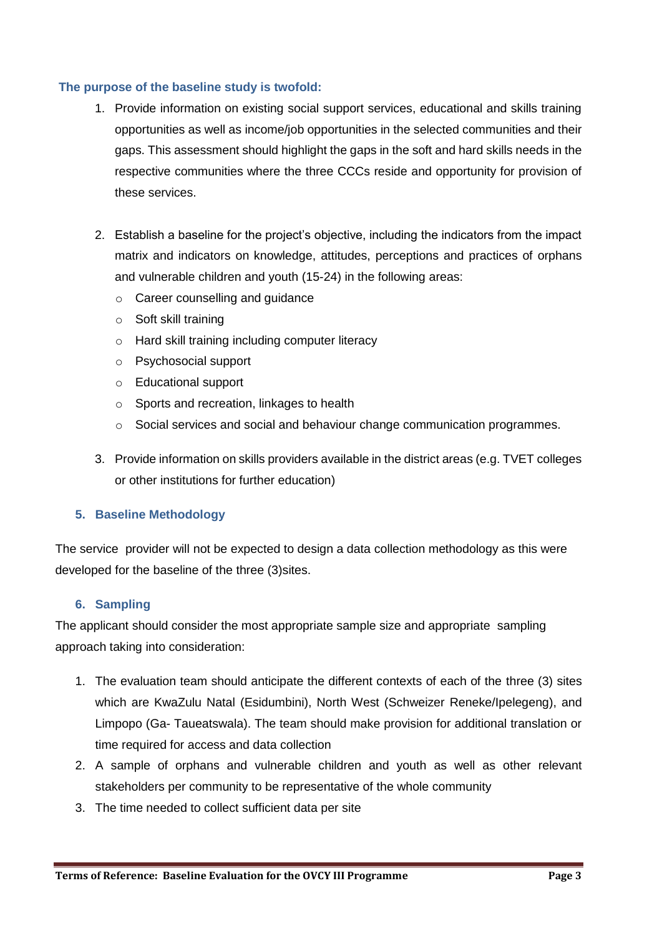#### **The purpose of the baseline study is twofold:**

- 1. Provide information on existing social support services, educational and skills training opportunities as well as income/job opportunities in the selected communities and their gaps. This assessment should highlight the gaps in the soft and hard skills needs in the respective communities where the three CCCs reside and opportunity for provision of these services.
- 2. Establish a baseline for the project's objective, including the indicators from the impact matrix and indicators on knowledge, attitudes, perceptions and practices of orphans and vulnerable children and youth (15-24) in the following areas:
	- o Career counselling and guidance
	- o Soft skill training
	- o Hard skill training including computer literacy
	- o Psychosocial support
	- o Educational support
	- o Sports and recreation, linkages to health
	- $\circ$  Social services and social and behaviour change communication programmes.
- 3. Provide information on skills providers available in the district areas (e.g. TVET colleges or other institutions for further education)

#### **5. Baseline Methodology**

The service provider will not be expected to design a data collection methodology as this were developed for the baseline of the three (3)sites.

#### **6. Sampling**

The applicant should consider the most appropriate sample size and appropriate sampling approach taking into consideration:

- 1. The evaluation team should anticipate the different contexts of each of the three (3) sites which are KwaZulu Natal (Esidumbini), North West (Schweizer Reneke/Ipelegeng), and Limpopo (Ga- Taueatswala). The team should make provision for additional translation or time required for access and data collection
- 2. A sample of orphans and vulnerable children and youth as well as other relevant stakeholders per community to be representative of the whole community
- 3. The time needed to collect sufficient data per site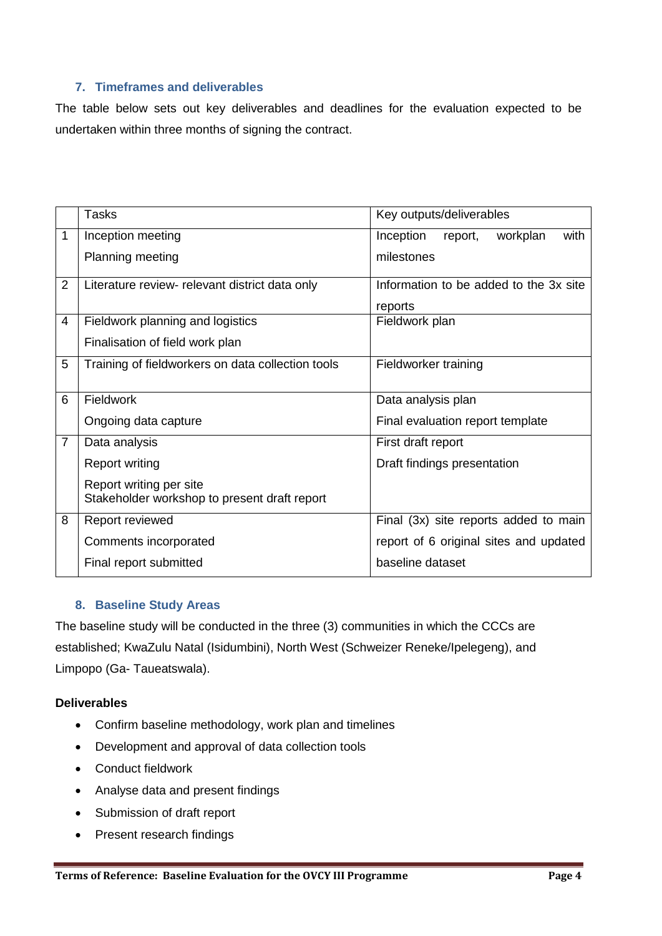#### **7. Timeframes and deliverables**

The table below sets out key deliverables and deadlines for the evaluation expected to be undertaken within three months of signing the contract.

|                | Tasks                                             | Key outputs/deliverables                 |  |  |  |  |
|----------------|---------------------------------------------------|------------------------------------------|--|--|--|--|
| 1              | Inception meeting                                 | workplan<br>with<br>Inception<br>report, |  |  |  |  |
|                | Planning meeting                                  | milestones                               |  |  |  |  |
| $\overline{2}$ | Literature review- relevant district data only    | Information to be added to the 3x site   |  |  |  |  |
|                |                                                   | reports                                  |  |  |  |  |
| 4              | Fieldwork planning and logistics                  | Fieldwork plan                           |  |  |  |  |
|                | Finalisation of field work plan                   |                                          |  |  |  |  |
| 5              | Training of fieldworkers on data collection tools | Fieldworker training                     |  |  |  |  |
|                |                                                   |                                          |  |  |  |  |
| 6              | Fieldwork                                         | Data analysis plan                       |  |  |  |  |
|                | Ongoing data capture                              | Final evaluation report template         |  |  |  |  |
| $\overline{7}$ | Data analysis                                     | First draft report                       |  |  |  |  |
|                | Report writing                                    | Draft findings presentation              |  |  |  |  |
|                | Report writing per site                           |                                          |  |  |  |  |
|                | Stakeholder workshop to present draft report      |                                          |  |  |  |  |
| 8              | Report reviewed                                   | Final (3x) site reports added to main    |  |  |  |  |
|                | Comments incorporated                             | report of 6 original sites and updated   |  |  |  |  |
|                | Final report submitted                            | baseline dataset                         |  |  |  |  |

### **8. Baseline Study Areas**

The baseline study will be conducted in the three (3) communities in which the CCCs are established; KwaZulu Natal (Isidumbini), North West (Schweizer Reneke/Ipelegeng), and Limpopo (Ga- Taueatswala).

#### **Deliverables**

- Confirm baseline methodology, work plan and timelines
- Development and approval of data collection tools
- Conduct fieldwork
- Analyse data and present findings
- Submission of draft report
- Present research findings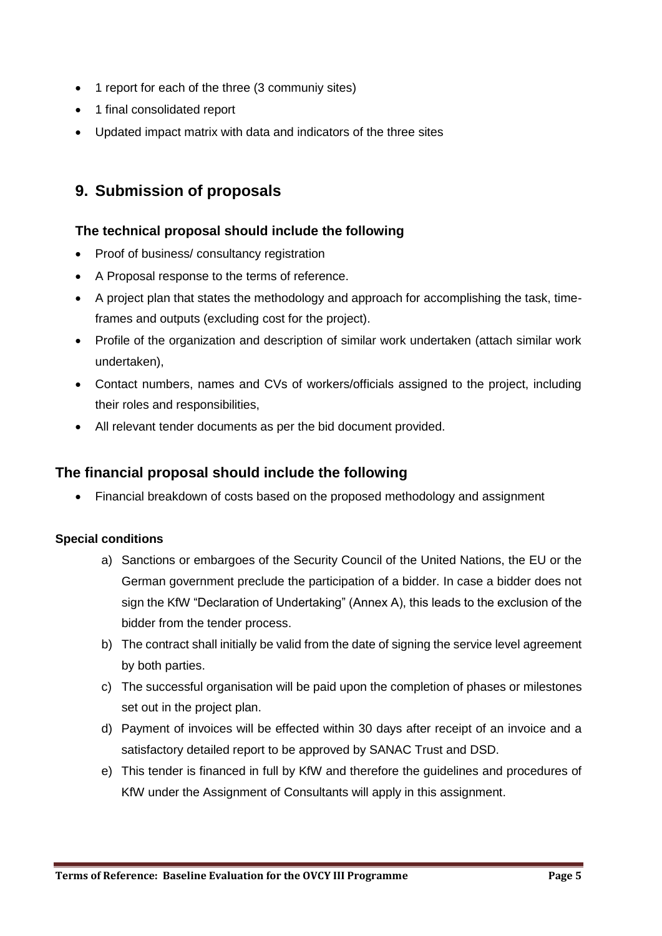- 1 report for each of the three (3 communiy sites)
- 1 final consolidated report
- Updated impact matrix with data and indicators of the three sites

### **9. Submission of proposals**

### **The technical proposal should include the following**

- Proof of business/ consultancy registration
- A Proposal response to the terms of reference.
- A project plan that states the methodology and approach for accomplishing the task, timeframes and outputs (excluding cost for the project).
- Profile of the organization and description of similar work undertaken (attach similar work undertaken),
- Contact numbers, names and CVs of workers/officials assigned to the project, including their roles and responsibilities,
- All relevant tender documents as per the bid document provided.

### **The financial proposal should include the following**

Financial breakdown of costs based on the proposed methodology and assignment

### **Special conditions**

- a) Sanctions or embargoes of the Security Council of the United Nations, the EU or the German government preclude the participation of a bidder. In case a bidder does not sign the KfW "Declaration of Undertaking" (Annex A), this leads to the exclusion of the bidder from the tender process.
- b) The contract shall initially be valid from the date of signing the service level agreement by both parties.
- c) The successful organisation will be paid upon the completion of phases or milestones set out in the project plan.
- d) Payment of invoices will be effected within 30 days after receipt of an invoice and a satisfactory detailed report to be approved by SANAC Trust and DSD.
- e) This tender is financed in full by KfW and therefore the guidelines and procedures of KfW under the Assignment of Consultants will apply in this assignment.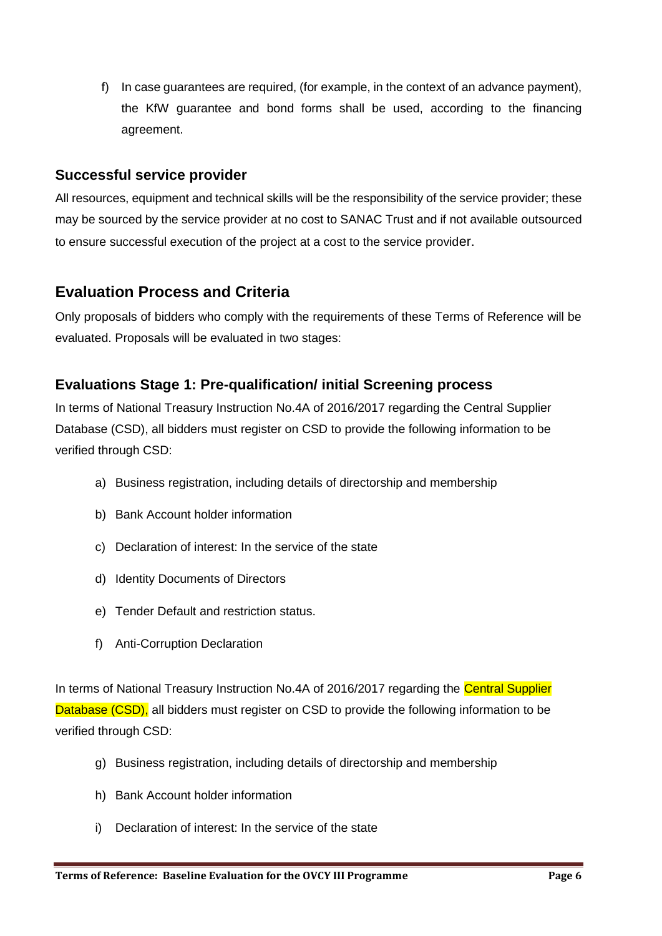f) In case guarantees are required, (for example, in the context of an advance payment), the KfW guarantee and bond forms shall be used, according to the financing agreement.

### **Successful service provider**

All resources, equipment and technical skills will be the responsibility of the service provider; these may be sourced by the service provider at no cost to SANAC Trust and if not available outsourced to ensure successful execution of the project at a cost to the service provider.

### **Evaluation Process and Criteria**

Only proposals of bidders who comply with the requirements of these Terms of Reference will be evaluated. Proposals will be evaluated in two stages:

### **Evaluations Stage 1: Pre-qualification/ initial Screening process**

In terms of National Treasury Instruction No.4A of 2016/2017 regarding the Central Supplier Database (CSD), all bidders must register on CSD to provide the following information to be verified through CSD:

- a) Business registration, including details of directorship and membership
- b) Bank Account holder information
- c) Declaration of interest: In the service of the state
- d) Identity Documents of Directors
- e) Tender Default and restriction status.
- f) Anti-Corruption Declaration

In terms of National Treasury Instruction No.4A of 2016/2017 regarding the Central Supplier Database (CSD), all bidders must register on CSD to provide the following information to be verified through CSD:

- g) Business registration, including details of directorship and membership
- h) Bank Account holder information
- i) Declaration of interest: In the service of the state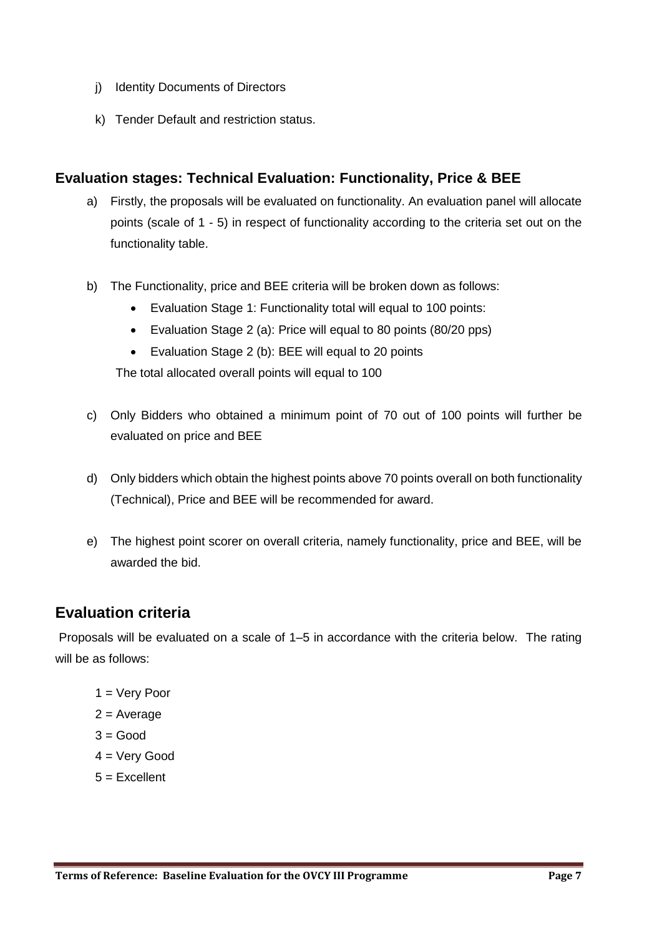- j) Identity Documents of Directors
- k) Tender Default and restriction status.

### **Evaluation stages: Technical Evaluation: Functionality, Price & BEE**

- a) Firstly, the proposals will be evaluated on functionality. An evaluation panel will allocate points (scale of 1 - 5) in respect of functionality according to the criteria set out on the functionality table.
- b) The Functionality, price and BEE criteria will be broken down as follows:
	- Evaluation Stage 1: Functionality total will equal to 100 points:
	- Evaluation Stage 2 (a): Price will equal to 80 points (80/20 pps)
	- Evaluation Stage 2 (b): BEE will equal to 20 points

The total allocated overall points will equal to 100

- c) Only Bidders who obtained a minimum point of 70 out of 100 points will further be evaluated on price and BEE
- d) Only bidders which obtain the highest points above 70 points overall on both functionality (Technical), Price and BEE will be recommended for award.
- e) The highest point scorer on overall criteria, namely functionality, price and BEE, will be awarded the bid.

### **Evaluation criteria**

Proposals will be evaluated on a scale of 1–5 in accordance with the criteria below. The rating will be as follows:

- 1 = Very Poor
- $2 = Average$
- $3 = Good$
- 4 = Very Good
- $5 =$ Fxcellent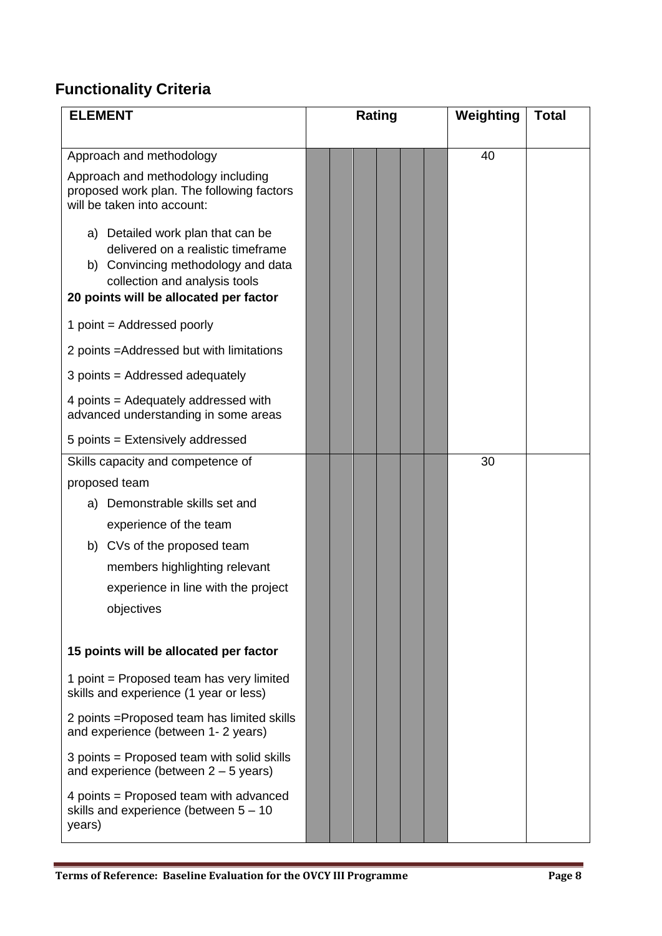## **Functionality Criteria**

| <b>ELEMENT</b>                                                                                                | Rating | Weighting<br><b>Total</b> |
|---------------------------------------------------------------------------------------------------------------|--------|---------------------------|
| Approach and methodology<br>Approach and methodology including                                                |        | 40                        |
| proposed work plan. The following factors<br>will be taken into account:                                      |        |                           |
| a) Detailed work plan that can be<br>delivered on a realistic timeframe<br>b) Convincing methodology and data |        |                           |
| collection and analysis tools<br>20 points will be allocated per factor                                       |        |                           |
| 1 point = Addressed poorly                                                                                    |        |                           |
| 2 points = Addressed but with limitations                                                                     |        |                           |
| 3 points = Addressed adequately                                                                               |        |                           |
| 4 points = Adequately addressed with<br>advanced understanding in some areas                                  |        |                           |
| 5 points = Extensively addressed                                                                              |        |                           |
| Skills capacity and competence of                                                                             |        | 30                        |
| proposed team                                                                                                 |        |                           |
| a) Demonstrable skills set and                                                                                |        |                           |
| experience of the team                                                                                        |        |                           |
| b) CVs of the proposed team                                                                                   |        |                           |
| members highlighting relevant<br>experience in line with the project                                          |        |                           |
| objectives                                                                                                    |        |                           |
|                                                                                                               |        |                           |
| 15 points will be allocated per factor                                                                        |        |                           |
| 1 point = Proposed team has very limited<br>skills and experience (1 year or less)                            |        |                           |
| 2 points = Proposed team has limited skills<br>and experience (between 1-2 years)                             |        |                           |
| 3 points = Proposed team with solid skills<br>and experience (between $2 - 5$ years)                          |        |                           |
| 4 points = Proposed team with advanced<br>skills and experience (between $5 - 10$<br>years)                   |        |                           |